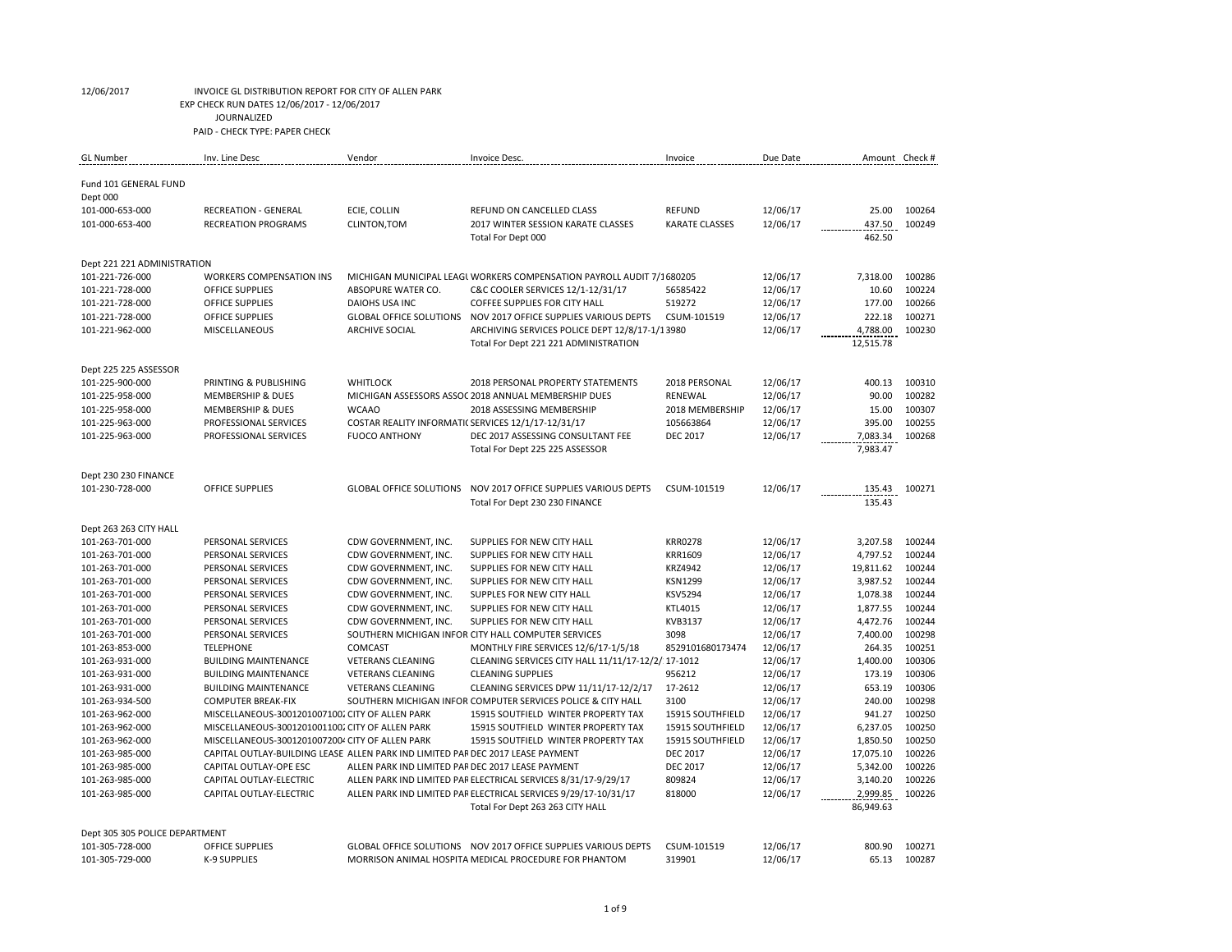| <b>GL Number</b>                   | Inv. Line Desc                                                                                            | Vendor                                              | Invoice Desc.                                                                                       | Invoice                             | Due Date |                       | Amount Check #   |
|------------------------------------|-----------------------------------------------------------------------------------------------------------|-----------------------------------------------------|-----------------------------------------------------------------------------------------------------|-------------------------------------|----------|-----------------------|------------------|
| Fund 101 GENERAL FUND              |                                                                                                           |                                                     |                                                                                                     |                                     |          |                       |                  |
| Dept 000                           |                                                                                                           |                                                     |                                                                                                     |                                     |          |                       |                  |
| 101-000-653-000                    | <b>RECREATION - GENERAL</b>                                                                               | ECIE, COLLIN                                        | <b>REFUND ON CANCELLED CLASS</b>                                                                    | <b>REFUND</b>                       | 12/06/17 | 25.00                 | 100264           |
| 101-000-653-400                    | <b>RECREATION PROGRAMS</b>                                                                                | <b>CLINTON, TOM</b>                                 | 2017 WINTER SESSION KARATE CLASSES                                                                  | KARATE CLASSES                      | 12/06/17 | 437.50                | 100249           |
|                                    |                                                                                                           |                                                     | Total For Dept 000                                                                                  |                                     |          | 462.50                |                  |
| Dept 221 221 ADMINISTRATION        |                                                                                                           |                                                     |                                                                                                     |                                     |          |                       |                  |
| 101-221-726-000                    | <b>WORKERS COMPENSATION INS</b>                                                                           |                                                     | MICHIGAN MUNICIPAL LEAGL WORKERS COMPENSATION PAYROLL AUDIT 7/1680205                               |                                     | 12/06/17 | 7,318.00              | 100286           |
| 101-221-728-000                    | <b>OFFICE SUPPLIES</b>                                                                                    | ABSOPURE WATER CO.                                  | C&C COOLER SERVICES 12/1-12/31/17                                                                   | 56585422                            | 12/06/17 | 10.60                 | 100224           |
| 101-221-728-000                    | <b>OFFICE SUPPLIES</b>                                                                                    | <b>DAIOHS USA INC</b>                               | <b>COFFEE SUPPLIES FOR CITY HALL</b>                                                                | 519272                              | 12/06/17 | 177.00                | 100266           |
| 101-221-728-000                    | <b>OFFICE SUPPLIES</b>                                                                                    | <b>GLOBAL OFFICE SOLUTIONS</b>                      | NOV 2017 OFFICE SUPPLIES VARIOUS DEPTS                                                              | CSUM-101519                         | 12/06/17 | 222.18                | 100271           |
| 101-221-962-000                    | MISCELLANEOUS                                                                                             | <b>ARCHIVE SOCIAL</b>                               | ARCHIVING SERVICES POLICE DEPT 12/8/17-1/13980                                                      |                                     | 12/06/17 | 4,788.00              | 100230           |
|                                    |                                                                                                           |                                                     | Total For Dept 221 221 ADMINISTRATION                                                               |                                     |          | 12,515.78             |                  |
| Dept 225 225 ASSESSOR              |                                                                                                           |                                                     |                                                                                                     |                                     |          |                       |                  |
| 101-225-900-000                    | PRINTING & PUBLISHING                                                                                     | <b>WHITLOCK</b>                                     | 2018 PERSONAL PROPERTY STATEMENTS                                                                   | 2018 PERSONAL                       | 12/06/17 | 400.13                | 100310           |
| 101-225-958-000                    | <b>MEMBERSHIP &amp; DUES</b>                                                                              |                                                     | MICHIGAN ASSESSORS ASSOC 2018 ANNUAL MEMBERSHIP DUES                                                | RENEWAL                             | 12/06/17 | 90.00                 | 100282           |
| 101-225-958-000                    | <b>MEMBERSHIP &amp; DUES</b>                                                                              | <b>WCAAO</b>                                        | 2018 ASSESSING MEMBERSHIP                                                                           | 2018 MEMBERSHIP                     | 12/06/17 | 15.00                 | 100307           |
| 101-225-963-000                    | PROFESSIONAL SERVICES                                                                                     | COSTAR REALITY INFORMATI( SERVICES 12/1/17-12/31/17 |                                                                                                     | 105663864                           | 12/06/17 | 395.00                | 100255           |
| 101-225-963-000                    | PROFESSIONAL SERVICES                                                                                     | <b>FUOCO ANTHONY</b>                                | DEC 2017 ASSESSING CONSULTANT FEE                                                                   | <b>DEC 2017</b>                     | 12/06/17 | 7,083.34              | 100268           |
|                                    |                                                                                                           |                                                     | Total For Dept 225 225 ASSESSOR                                                                     |                                     |          | 7,983.47              |                  |
| Dept 230 230 FINANCE               |                                                                                                           |                                                     |                                                                                                     |                                     |          |                       |                  |
| 101-230-728-000                    | <b>OFFICE SUPPLIES</b>                                                                                    | <b>GLOBAL OFFICE SOLUTIONS</b>                      | NOV 2017 OFFICE SUPPLIES VARIOUS DEPTS                                                              | CSUM-101519                         | 12/06/17 | 135.43                | 100271           |
|                                    |                                                                                                           |                                                     | Total For Dept 230 230 FINANCE                                                                      |                                     |          | 135.43                |                  |
| Dept 263 263 CITY HALL             |                                                                                                           |                                                     |                                                                                                     |                                     |          |                       |                  |
| 101-263-701-000                    | PERSONAL SERVICES                                                                                         | CDW GOVERNMENT, INC.                                | SUPPLIES FOR NEW CITY HALL                                                                          | <b>KRR0278</b>                      | 12/06/17 | 3,207.58              | 100244           |
| 101-263-701-000                    | PERSONAL SERVICES                                                                                         | CDW GOVERNMENT, INC.                                | SUPPLIES FOR NEW CITY HALL                                                                          | KRR1609                             | 12/06/17 | 4,797.52              | 100244           |
| 101-263-701-000                    | PERSONAL SERVICES                                                                                         | CDW GOVERNMENT, INC.                                | SUPPLIES FOR NEW CITY HALL                                                                          | <b>KRZ4942</b>                      | 12/06/17 | 19,811.62             | 100244           |
| 101-263-701-000                    | PERSONAL SERVICES                                                                                         | CDW GOVERNMENT, INC.                                | SUPPLIES FOR NEW CITY HALL                                                                          | <b>KSN1299</b>                      | 12/06/17 | 3,987.52              | 100244           |
| 101-263-701-000                    | PERSONAL SERVICES                                                                                         | CDW GOVERNMENT, INC.                                | SUPPLES FOR NEW CITY HALL                                                                           | <b>KSV5294</b>                      | 12/06/17 | 1,078.38              | 100244           |
| 101-263-701-000                    | PERSONAL SERVICES                                                                                         | CDW GOVERNMENT, INC.                                | SUPPLIES FOR NEW CITY HALL                                                                          | KTL4015                             | 12/06/17 | 1,877.55              | 100244           |
| 101-263-701-000                    | PERSONAL SERVICES                                                                                         | CDW GOVERNMENT, INC.                                | SUPPLIES FOR NEW CITY HALL                                                                          | KVB3137                             | 12/06/17 | 4,472.76              | 100244           |
| 101-263-701-000                    | PERSONAL SERVICES                                                                                         |                                                     | SOUTHERN MICHIGAN INFOR CITY HALL COMPUTER SERVICES                                                 | 3098                                | 12/06/17 | 7.400.00              | 100298           |
| 101-263-853-000                    | <b>TELEPHONE</b>                                                                                          | COMCAST                                             | MONTHLY FIRE SERVICES 12/6/17-1/5/18                                                                | 8529101680173474                    | 12/06/17 | 264.35                | 100251           |
| 101-263-931-000                    | <b>BUILDING MAINTENANCE</b>                                                                               | <b>VETERANS CLEANING</b>                            | CLEANING SERVICES CITY HALL 11/11/17-12/2/ 17-1012                                                  |                                     | 12/06/17 | 1,400.00              | 100306           |
| 101-263-931-000                    | <b>BUILDING MAINTENANCE</b>                                                                               | <b>VETERANS CLEANING</b>                            | <b>CLEANING SUPPLIES</b>                                                                            | 956212                              | 12/06/17 | 173.19                | 100306           |
| 101-263-931-000                    | <b>BUILDING MAINTENANCE</b>                                                                               | <b>VETERANS CLEANING</b>                            | CLEANING SERVICES DPW 11/11/17-12/2/17                                                              | 17-2612                             | 12/06/17 | 653.19                | 100306           |
| 101-263-934-500                    | <b>COMPUTER BREAK-FIX</b>                                                                                 |                                                     | SOUTHERN MICHIGAN INFOR COMPUTER SERVICES POLICE & CITY HALL                                        | 3100                                | 12/06/17 | 240.00                | 100298           |
| 101-263-962-000                    | MISCELLANEOUS-30012010071002 CITY OF ALLEN PARK                                                           |                                                     | 15915 SOUTFIELD WINTER PROPERTY TAX                                                                 | 15915 SOUTHFIELD                    | 12/06/17 | 941.27                | 100250           |
| 101-263-962-000                    | MISCELLANEOUS-30012010011002 CITY OF ALLEN PARK                                                           |                                                     | 15915 SOUTFIELD WINTER PROPERTY TAX                                                                 | 15915 SOUTHFIELD                    | 12/06/17 | 6,237.05              | 100250           |
| 101-263-962-000                    | MISCELLANEOUS-30012010072004 CITY OF ALLEN PARK                                                           |                                                     | 15915 SOUTFIELD WINTER PROPERTY TAX                                                                 | 15915 SOUTHFIELD<br><b>DEC 2017</b> | 12/06/17 | 1,850.50<br>17,075.10 | 100250<br>100226 |
| 101-263-985-000                    | CAPITAL OUTLAY-BUILDING LEASE ALLEN PARK IND LIMITED PAF DEC 2017 LEASE PAYMENT<br>CAPITAL OUTLAY-OPE ESC | ALLEN PARK IND LIMITED PAF DEC 2017 LEASE PAYMENT   |                                                                                                     |                                     | 12/06/17 |                       | 100226           |
| 101-263-985-000                    |                                                                                                           |                                                     |                                                                                                     | <b>DEC 2017</b>                     | 12/06/17 | 5,342.00              |                  |
| 101-263-985-000<br>101-263-985-000 | CAPITAL OUTLAY-ELECTRIC<br>CAPITAL OUTLAY-ELECTRIC                                                        |                                                     | ALLEN PARK IND LIMITED PAF ELECTRICAL SERVICES 8/31/17-9/29/17                                      | 809824<br>818000                    | 12/06/17 | 3,140.20              | 100226<br>100226 |
|                                    |                                                                                                           |                                                     | ALLEN PARK IND LIMITED PAF ELECTRICAL SERVICES 9/29/17-10/31/17<br>Total For Dept 263 263 CITY HALL |                                     | 12/06/17 | 2,999.85<br>86,949.63 |                  |
| Dept 305 305 POLICE DEPARTMENT     |                                                                                                           |                                                     |                                                                                                     |                                     |          |                       |                  |
| 101-305-728-000                    | <b>OFFICE SUPPLIES</b>                                                                                    |                                                     | GLOBAL OFFICE SOLUTIONS  NOV 2017 OFFICE SUPPLIES VARIOUS DEPTS                                     | CSUM-101519                         | 12/06/17 | 800.90                | 100271           |
| 101-305-729-000                    | <b>K-9 SUPPLIES</b>                                                                                       |                                                     | MORRISON ANIMAL HOSPITA MEDICAL PROCEDURE FOR PHANTOM                                               | 319901                              | 12/06/17 | 65.13                 | 100287           |
|                                    |                                                                                                           |                                                     |                                                                                                     |                                     |          |                       |                  |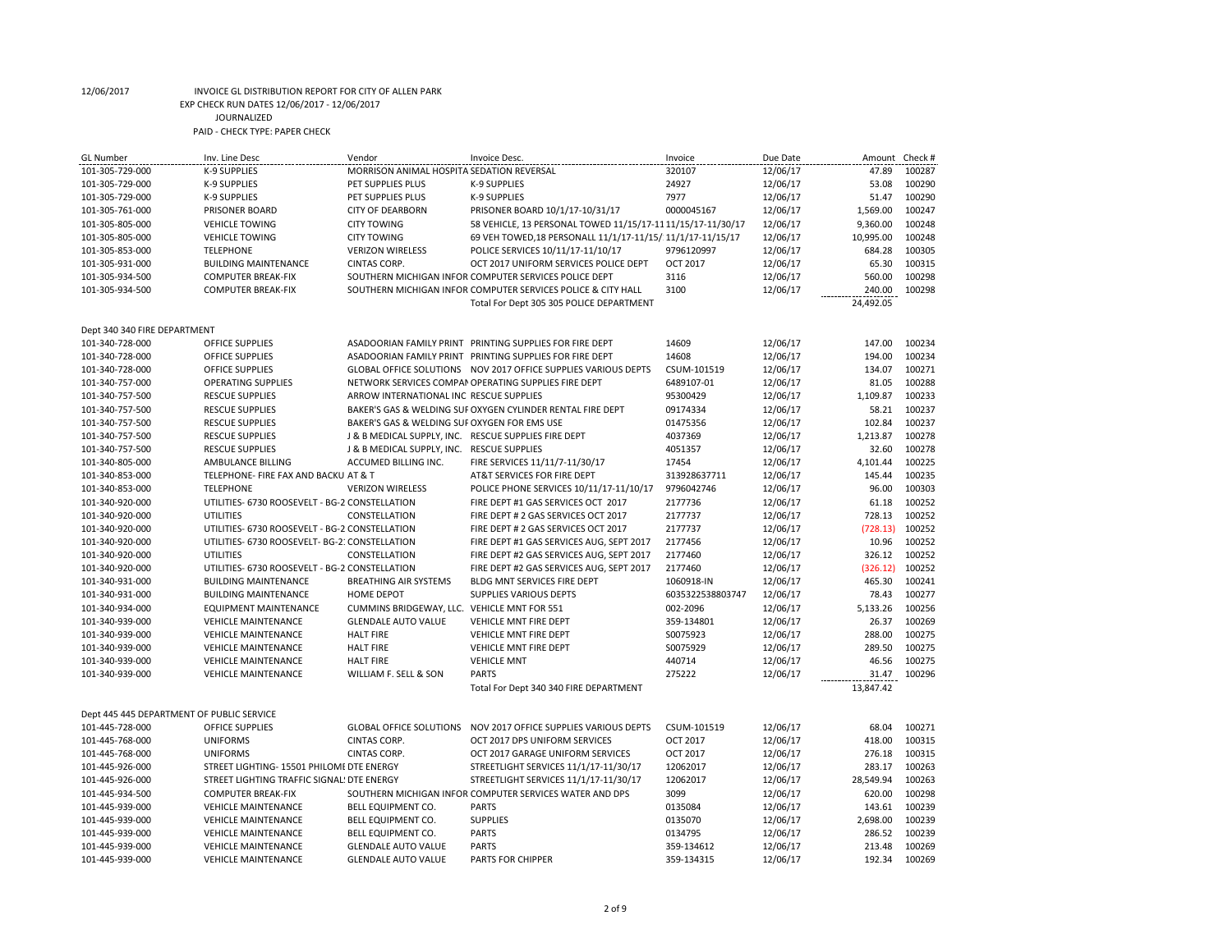| <b>GL Number</b>                          | Inv. Line Desc                                 | Vendor                                               | Invoice Desc.                                                   | Invoice          | Due Date | Amount          | Check #          |
|-------------------------------------------|------------------------------------------------|------------------------------------------------------|-----------------------------------------------------------------|------------------|----------|-----------------|------------------|
| 101-305-729-000                           | <b>K-9 SUPPLIES</b>                            | MORRISON ANIMAL HOSPITA SEDATION REVERSAL            |                                                                 | 320107           | 12/06/17 | 47.89           | 100287           |
| 101-305-729-000                           | <b>K-9 SUPPLIES</b>                            | PET SUPPLIES PLUS                                    | K-9 SUPPLIES                                                    | 24927            | 12/06/17 | 53.08           | 100290           |
| 101-305-729-000                           | <b>K-9 SUPPLIES</b>                            | PET SUPPLIES PLUS                                    | <b>K-9 SUPPLIES</b>                                             | 7977             | 12/06/17 | 51.47           | 100290           |
| 101-305-761-000                           | PRISONER BOARD                                 | <b>CITY OF DEARBORN</b>                              | PRISONER BOARD 10/1/17-10/31/17                                 | 0000045167       | 12/06/17 | 1,569.00        | 100247           |
| 101-305-805-000                           | <b>VEHICLE TOWING</b>                          | <b>CITY TOWING</b>                                   | 58 VEHICLE, 13 PERSONAL TOWED 11/15/17-11 11/15/17-11/30/17     |                  | 12/06/17 | 9,360.00        | 100248           |
| 101-305-805-000                           | <b>VEHICLE TOWING</b>                          | <b>CITY TOWING</b>                                   | 69 VEH TOWED, 18 PERSONALL 11/1/17-11/15/ 11/1/17-11/15/17      |                  | 12/06/17 | 10,995.00       | 100248           |
| 101-305-853-000                           | <b>TELEPHONE</b>                               | <b>VERIZON WIRELESS</b>                              | POLICE SERVICES 10/11/17-11/10/17                               | 9796120997       | 12/06/17 | 684.28          | 100305           |
| 101-305-931-000                           | <b>BUILDING MAINTENANCE</b>                    | <b>CINTAS CORP.</b>                                  | OCT 2017 UNIFORM SERVICES POLICE DEPT                           | OCT 2017         | 12/06/17 | 65.30           | 100315           |
| 101-305-934-500                           | <b>COMPUTER BREAK-FIX</b>                      |                                                      | SOUTHERN MICHIGAN INFOR COMPUTER SERVICES POLICE DEPT           | 3116             | 12/06/17 | 560.00          | 100298           |
| 101-305-934-500                           | <b>COMPUTER BREAK-FIX</b>                      |                                                      | SOUTHERN MICHIGAN INFOR COMPUTER SERVICES POLICE & CITY HALL    | 3100             | 12/06/17 | 240.00          | 100298           |
|                                           |                                                |                                                      | Total For Dept 305 305 POLICE DEPARTMENT                        |                  |          | 24,492.05       |                  |
| Dept 340 340 FIRE DEPARTMENT              |                                                |                                                      |                                                                 |                  |          |                 |                  |
| 101-340-728-000                           | <b>OFFICE SUPPLIES</b>                         |                                                      | ASADOORIAN FAMILY PRINT PRINTING SUPPLIES FOR FIRE DEPT         | 14609            | 12/06/17 | 147.00          | 100234           |
| 101-340-728-000                           | OFFICE SUPPLIES                                |                                                      | ASADOORIAN FAMILY PRINT PRINTING SUPPLIES FOR FIRE DEPT         | 14608            | 12/06/17 | 194.00          | 100234           |
| 101-340-728-000                           | <b>OFFICE SUPPLIES</b>                         |                                                      | GLOBAL OFFICE SOLUTIONS  NOV 2017 OFFICE SUPPLIES VARIOUS DEPTS | CSUM-101519      | 12/06/17 | 134.07          | 100271           |
| 101-340-757-000                           | <b>OPERATING SUPPLIES</b>                      |                                                      | NETWORK SERVICES COMPAN OPERATING SUPPLIES FIRE DEPT            | 6489107-01       | 12/06/17 | 81.05           | 100288           |
| 101-340-757-500                           | <b>RESCUE SUPPLIES</b>                         | ARROW INTERNATIONAL INC RESCUE SUPPLIES              |                                                                 | 95300429         | 12/06/17 | 1,109.87        | 100233           |
| 101-340-757-500                           | <b>RESCUE SUPPLIES</b>                         |                                                      | BAKER'S GAS & WELDING SUF OXYGEN CYLINDER RENTAL FIRE DEPT      | 09174334         | 12/06/17 | 58.21           | 100237           |
| 101-340-757-500                           | <b>RESCUE SUPPLIES</b>                         | BAKER'S GAS & WELDING SUF OXYGEN FOR EMS USE         |                                                                 | 01475356         | 12/06/17 | 102.84          | 100237           |
| 101-340-757-500                           | <b>RESCUE SUPPLIES</b>                         | J & B MEDICAL SUPPLY, INC. RESCUE SUPPLIES FIRE DEPT |                                                                 | 4037369          | 12/06/17 | 1.213.87        | 100278           |
| 101-340-757-500                           | <b>RESCUE SUPPLIES</b>                         | J & B MEDICAL SUPPLY, INC. RESCUE SUPPLIES           |                                                                 | 4051357          | 12/06/17 | 32.60           | 100278           |
| 101-340-805-000                           | AMBULANCE BILLING                              | ACCUMED BILLING INC.                                 | FIRE SERVICES 11/11/7-11/30/17                                  | 17454            | 12/06/17 | 4,101.44        | 100225           |
| 101-340-853-000                           | TELEPHONE- FIRE FAX AND BACKU AT & T           |                                                      | AT&T SERVICES FOR FIRE DEPT                                     | 313928637711     | 12/06/17 | 145.44          | 100235           |
| 101-340-853-000                           | <b>TELEPHONE</b>                               | <b>VERIZON WIRELESS</b>                              | POLICE PHONE SERVICES 10/11/17-11/10/17                         | 9796042746       | 12/06/17 | 96.00           | 100303           |
| 101-340-920-000                           | UTILITIES- 6730 ROOSEVELT - BG-2 CONSTELLATION |                                                      | FIRE DEPT #1 GAS SERVICES OCT 2017                              | 2177736          | 12/06/17 | 61.18           | 100252           |
| 101-340-920-000                           | UTILITIES                                      | CONSTELLATION                                        | FIRE DEPT # 2 GAS SERVICES OCT 2017                             | 2177737          | 12/06/17 | 728.13          | 100252           |
| 101-340-920-000                           | UTILITIES- 6730 ROOSEVELT - BG-2 CONSTELLATION |                                                      | FIRE DEPT # 2 GAS SERVICES OCT 2017                             | 2177737          | 12/06/17 | (728.13)        | 100252           |
| 101-340-920-000                           | UTILITIES- 6730 ROOSEVELT- BG-21 CONSTELLATION |                                                      | FIRE DEPT #1 GAS SERVICES AUG, SEPT 2017                        | 2177456          | 12/06/17 | 10.96           | 100252           |
| 101-340-920-000                           | UTILITIES                                      | CONSTELLATION                                        | FIRE DEPT #2 GAS SERVICES AUG, SEPT 2017                        | 2177460          | 12/06/17 | 326.12          | 100252           |
| 101-340-920-000                           | UTILITIES- 6730 ROOSEVELT - BG-2 CONSTELLATION |                                                      |                                                                 | 2177460          | 12/06/17 | (326.12)        | 100252           |
|                                           |                                                |                                                      | FIRE DEPT #2 GAS SERVICES AUG, SEPT 2017                        |                  |          |                 |                  |
| 101-340-931-000                           | <b>BUILDING MAINTENANCE</b>                    | <b>BREATHING AIR SYSTEMS</b>                         | BLDG MNT SERVICES FIRE DEPT                                     | 1060918-IN       | 12/06/17 | 465.30<br>78.43 | 100241<br>100277 |
| 101-340-931-000                           | <b>BUILDING MAINTENANCE</b>                    | <b>HOME DEPOT</b>                                    | <b>SUPPLIES VARIOUS DEPTS</b>                                   | 6035322538803747 | 12/06/17 |                 |                  |
| 101-340-934-000                           | <b>EQUIPMENT MAINTENANCE</b>                   | CUMMINS BRIDGEWAY, LLC. VEHICLE MNT FOR 551          |                                                                 | 002-2096         | 12/06/17 | 5,133.26        | 100256           |
| 101-340-939-000                           | <b>VEHICLE MAINTENANCE</b>                     | <b>GLENDALE AUTO VALUE</b>                           | <b>VEHICLE MNT FIRE DEPT</b>                                    | 359-134801       | 12/06/17 | 26.37           | 100269           |
| 101-340-939-000                           | <b>VEHICLE MAINTENANCE</b>                     | <b>HALT FIRE</b>                                     | VEHICLE MNT FIRE DEPT                                           | S0075923         | 12/06/17 | 288.00          | 100275           |
| 101-340-939-000                           | <b>VEHICLE MAINTENANCE</b>                     | <b>HALT FIRE</b>                                     | <b>VEHICLE MNT FIRE DEPT</b>                                    | S0075929         | 12/06/17 | 289.50          | 100275           |
| 101-340-939-000                           | <b>VEHICLE MAINTENANCE</b>                     | <b>HALT FIRE</b>                                     | <b>VEHICLE MNT</b>                                              | 440714           | 12/06/17 | 46.56           | 100275           |
| 101-340-939-000                           | <b>VEHICLE MAINTENANCE</b>                     | WILLIAM F. SELL & SON                                | <b>PARTS</b>                                                    | 275222           | 12/06/17 | 31.47           | 100296           |
|                                           |                                                |                                                      | Total For Dept 340 340 FIRE DEPARTMENT                          |                  |          | 13,847.42       |                  |
| Dept 445 445 DEPARTMENT OF PUBLIC SERVICE |                                                |                                                      |                                                                 |                  |          |                 |                  |
| 101-445-728-000                           | OFFICE SUPPLIES                                | <b>GLOBAL OFFICE SOLUTIONS</b>                       | NOV 2017 OFFICE SUPPLIES VARIOUS DEPTS                          | CSUM-101519      | 12/06/17 | 68.04           | 100271           |
| 101-445-768-000                           | <b>UNIFORMS</b>                                | <b>CINTAS CORP.</b>                                  | OCT 2017 DPS UNIFORM SERVICES                                   | OCT 2017         | 12/06/17 | 418.00          | 100315           |
| 101-445-768-000                           | <b>UNIFORMS</b>                                | CINTAS CORP.                                         | OCT 2017 GARAGE UNIFORM SERVICES                                | OCT 2017         | 12/06/17 | 276.18          | 100315           |
| 101-445-926-000                           | STREET LIGHTING- 15501 PHILOME DTE ENERGY      |                                                      | STREETLIGHT SERVICES 11/1/17-11/30/17                           | 12062017         | 12/06/17 | 283.17          | 100263           |
| 101-445-926-000                           | STREET LIGHTING TRAFFIC SIGNAL! DTE ENERGY     |                                                      | STREETLIGHT SERVICES 11/1/17-11/30/17                           | 12062017         | 12/06/17 | 28,549.94       | 100263           |
| 101-445-934-500                           | <b>COMPUTER BREAK-FIX</b>                      |                                                      | SOUTHERN MICHIGAN INFOR COMPUTER SERVICES WATER AND DPS         | 3099             | 12/06/17 | 620.00          | 100298           |
| 101-445-939-000                           | <b>VEHICLE MAINTENANCE</b>                     | BELL EQUIPMENT CO.                                   | <b>PARTS</b>                                                    | 0135084          | 12/06/17 | 143.61          | 100239           |
| 101-445-939-000                           | <b>VEHICLE MAINTENANCE</b>                     | <b>BELL EQUIPMENT CO.</b>                            | <b>SUPPLIES</b>                                                 | 0135070          | 12/06/17 | 2,698.00        | 100239           |
| 101-445-939-000                           | <b>VEHICLE MAINTENANCE</b>                     | <b>BELL EQUIPMENT CO.</b>                            | <b>PARTS</b>                                                    | 0134795          | 12/06/17 | 286.52          | 100239           |
| 101-445-939-000                           | <b>VEHICLE MAINTENANCE</b>                     | <b>GLENDALE AUTO VALUE</b>                           | <b>PARTS</b>                                                    | 359-134612       | 12/06/17 | 213.48          | 100269           |
| 101-445-939-000                           | <b>VEHICLE MAINTENANCE</b>                     | <b>GLENDALE AUTO VALUE</b>                           | <b>PARTS FOR CHIPPER</b>                                        | 359-134315       | 12/06/17 | 192.34          | 100269           |
|                                           |                                                |                                                      |                                                                 |                  |          |                 |                  |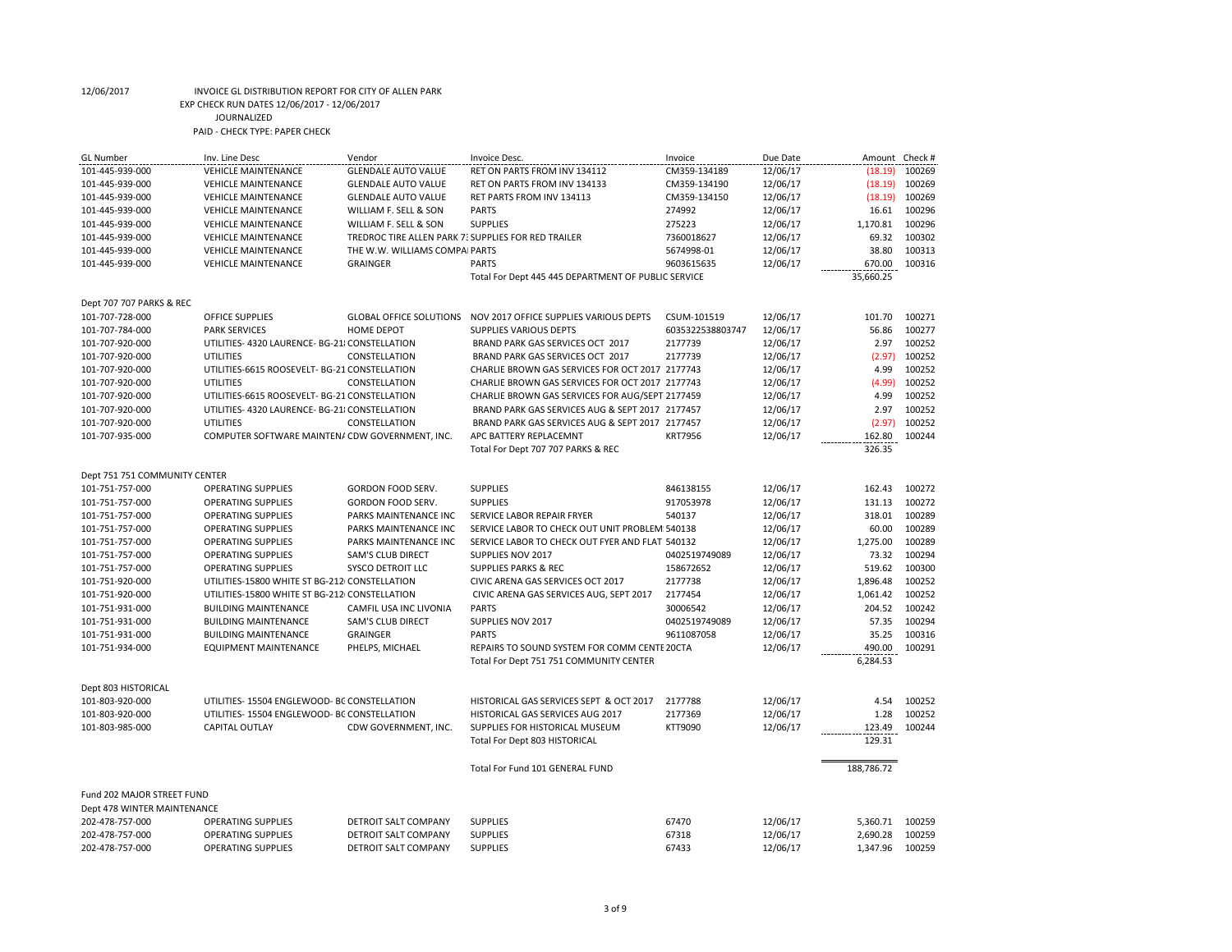| <b>GL</b> Number              | Inv. Line Desc                                  | Vendor                                              | Invoice Desc.                                       | Invoice          | Due Date | Amount Check # |        |
|-------------------------------|-------------------------------------------------|-----------------------------------------------------|-----------------------------------------------------|------------------|----------|----------------|--------|
| 101-445-939-000               | <b>VEHICLE MAINTENANCE</b>                      | <b>GLENDALE AUTO VALUE</b>                          | RET ON PARTS FROM INV 134112                        | CM359-134189     | 12/06/17 | (18.19)        | 100269 |
| 101-445-939-000               | <b>VEHICLE MAINTENANCE</b>                      | <b>GLENDALE AUTO VALUE</b>                          | RET ON PARTS FROM INV 134133                        | CM359-134190     | 12/06/17 | (18.19)        | 100269 |
| 101-445-939-000               | <b>VEHICLE MAINTENANCE</b>                      | <b>GLENDALE AUTO VALUE</b>                          | RET PARTS FROM INV 134113                           | CM359-134150     | 12/06/17 | (18.19)        | 100269 |
| 101-445-939-000               | <b>VEHICLE MAINTENANCE</b>                      | WILLIAM F. SELL & SON                               | <b>PARTS</b>                                        | 274992           | 12/06/17 | 16.61          | 100296 |
| 101-445-939-000               | <b>VEHICLE MAINTENANCE</b>                      | WILLIAM F. SELL & SON                               | <b>SUPPLIES</b>                                     | 275223           | 12/06/17 | 1,170.81       | 100296 |
| 101-445-939-000               | <b>VEHICLE MAINTENANCE</b>                      | TREDROC TIRE ALLEN PARK 7: SUPPLIES FOR RED TRAILER |                                                     | 7360018627       | 12/06/17 | 69.32          | 100302 |
| 101-445-939-000               | <b>VEHICLE MAINTENANCE</b>                      | THE W.W. WILLIAMS COMPA PARTS                       |                                                     | 5674998-01       | 12/06/17 | 38.80          | 100313 |
| 101-445-939-000               | <b>VEHICLE MAINTENANCE</b>                      | <b>GRAINGER</b>                                     | <b>PARTS</b>                                        | 9603615635       | 12/06/17 | 670.00         | 100316 |
|                               |                                                 |                                                     | Total For Dept 445 445 DEPARTMENT OF PUBLIC SERVICE |                  |          | 35,660.25      |        |
| Dept 707 707 PARKS & REC      |                                                 |                                                     |                                                     |                  |          |                |        |
| 101-707-728-000               | <b>OFFICE SUPPLIES</b>                          | <b>GLOBAL OFFICE SOLUTIONS</b>                      | NOV 2017 OFFICE SUPPLIES VARIOUS DEPTS              | CSUM-101519      | 12/06/17 | 101.70         | 100271 |
| 101-707-784-000               | <b>PARK SERVICES</b>                            | <b>HOME DEPOT</b>                                   | <b>SUPPLIES VARIOUS DEPTS</b>                       | 6035322538803747 | 12/06/17 | 56.86          | 100277 |
| 101-707-920-000               | UTILITIES- 4320 LAURENCE- BG-21 CONSTELLATION   |                                                     | BRAND PARK GAS SERVICES OCT 2017                    | 2177739          | 12/06/17 | 2.97           | 100252 |
| 101-707-920-000               | <b>UTILITIES</b>                                | CONSTELLATION                                       | BRAND PARK GAS SERVICES OCT 2017                    | 2177739          | 12/06/17 | (2.97)         | 100252 |
| 101-707-920-000               | UTILITIES-6615 ROOSEVELT- BG-21 CONSTELLATION   |                                                     | CHARLIE BROWN GAS SERVICES FOR OCT 2017 2177743     |                  | 12/06/17 | 4.99           | 100252 |
| 101-707-920-000               | <b>UTILITIES</b>                                | CONSTELLATION                                       | CHARLIE BROWN GAS SERVICES FOR OCT 2017 2177743     |                  | 12/06/17 | (4.99)         | 100252 |
| 101-707-920-000               | UTILITIES-6615 ROOSEVELT- BG-21 CONSTELLATION   |                                                     | CHARLIE BROWN GAS SERVICES FOR AUG/SEPT 2177459     |                  | 12/06/17 | 4.99           | 100252 |
| 101-707-920-000               | UTILITIES- 4320 LAURENCE- BG-21 CONSTELLATION   |                                                     | BRAND PARK GAS SERVICES AUG & SEPT 2017 2177457     |                  | 12/06/17 | 2.97           | 100252 |
| 101-707-920-000               | <b>UTILITIES</b>                                | CONSTELLATION                                       | BRAND PARK GAS SERVICES AUG & SEPT 2017 2177457     |                  | 12/06/17 | (2.97)         | 100252 |
| 101-707-935-000               | COMPUTER SOFTWARE MAINTENA CDW GOVERNMENT, INC. |                                                     | APC BATTERY REPLACEMNT                              | <b>KRT7956</b>   | 12/06/17 | 162.80         | 100244 |
|                               |                                                 |                                                     | Total For Dept 707 707 PARKS & REC                  |                  |          | 326.35         |        |
|                               |                                                 |                                                     |                                                     |                  |          |                |        |
| Dept 751 751 COMMUNITY CENTER |                                                 |                                                     |                                                     |                  |          |                |        |
| 101-751-757-000               | <b>OPERATING SUPPLIES</b>                       | <b>GORDON FOOD SERV.</b>                            | <b>SUPPLIES</b>                                     | 846138155        | 12/06/17 | 162.43         | 100272 |
| 101-751-757-000               | <b>OPERATING SUPPLIES</b>                       | GORDON FOOD SERV.                                   | <b>SUPPLIES</b>                                     | 917053978        | 12/06/17 | 131.13         | 100272 |
| 101-751-757-000               | <b>OPERATING SUPPLIES</b>                       | PARKS MAINTENANCE INC                               | SERVICE LABOR REPAIR FRYER                          | 540137           | 12/06/17 | 318.01         | 100289 |
| 101-751-757-000               | <b>OPERATING SUPPLIES</b>                       | PARKS MAINTENANCE INC                               | SERVICE LABOR TO CHECK OUT UNIT PROBLEM 540138      |                  | 12/06/17 | 60.00          | 100289 |
| 101-751-757-000               | <b>OPERATING SUPPLIES</b>                       | PARKS MAINTENANCE INC                               | SERVICE LABOR TO CHECK OUT FYER AND FLAT 540132     |                  | 12/06/17 | 1,275.00       | 100289 |
| 101-751-757-000               | <b>OPERATING SUPPLIES</b>                       | <b>SAM'S CLUB DIRECT</b>                            | SUPPLIES NOV 2017                                   | 0402519749089    | 12/06/17 | 73.32          | 100294 |
| 101-751-757-000               | <b>OPERATING SUPPLIES</b>                       | <b>SYSCO DETROIT LLC</b>                            | <b>SUPPLIES PARKS &amp; REC</b>                     | 158672652        | 12/06/17 | 519.62         | 100300 |
| 101-751-920-000               | UTILITIES-15800 WHITE ST BG-212(CONSTELLATION   |                                                     | CIVIC ARENA GAS SERVICES OCT 2017                   | 2177738          | 12/06/17 | 1,896.48       | 100252 |
| 101-751-920-000               | UTILITIES-15800 WHITE ST BG-212 CONSTELLATION   |                                                     | CIVIC ARENA GAS SERVICES AUG, SEPT 2017             | 2177454          | 12/06/17 | 1,061.42       | 100252 |
| 101-751-931-000               | <b>BUILDING MAINTENANCE</b>                     | CAMFIL USA INC LIVONIA                              | <b>PARTS</b>                                        | 30006542         | 12/06/17 | 204.52         | 100242 |
| 101-751-931-000               | <b>BUILDING MAINTENANCE</b>                     | <b>SAM'S CLUB DIRECT</b>                            | SUPPLIES NOV 2017                                   | 0402519749089    | 12/06/17 | 57.35          | 100294 |
| 101-751-931-000               | <b>BUILDING MAINTENANCE</b>                     | <b>GRAINGER</b>                                     | <b>PARTS</b>                                        | 9611087058       | 12/06/17 | 35.25          | 100316 |
| 101-751-934-000               | <b>EQUIPMENT MAINTENANCE</b>                    | PHELPS, MICHAEL                                     | REPAIRS TO SOUND SYSTEM FOR COMM CENTE 20CTA        |                  | 12/06/17 | 490.00         | 100291 |
|                               |                                                 |                                                     | Total For Dept 751 751 COMMUNITY CENTER             |                  |          | 6,284.53       |        |
| Dept 803 HISTORICAL           |                                                 |                                                     |                                                     |                  |          |                |        |
| 101-803-920-000               | UTILITIES-15504 ENGLEWOOD- BC CONSTELLATION     |                                                     | HISTORICAL GAS SERVICES SEPT & OCT 2017             | 2177788          | 12/06/17 | 4.54           | 100252 |
| 101-803-920-000               | UTILITIES-15504 ENGLEWOOD- BC CONSTELLATION     |                                                     | HISTORICAL GAS SERVICES AUG 2017                    | 2177369          | 12/06/17 | 1.28           | 100252 |
| 101-803-985-000               | <b>CAPITAL OUTLAY</b>                           | CDW GOVERNMENT, INC.                                | SUPPLIES FOR HISTORICAL MUSEUM                      | KTT9090          | 12/06/17 | 123.49         | 100244 |
|                               |                                                 |                                                     | Total For Dept 803 HISTORICAL                       |                  |          | 129.31         |        |
|                               |                                                 |                                                     |                                                     |                  |          |                |        |
|                               |                                                 |                                                     | Total For Fund 101 GENERAL FUND                     |                  |          | 188,786.72     |        |
| Fund 202 MAJOR STREET FUND    |                                                 |                                                     |                                                     |                  |          |                |        |
| Dept 478 WINTER MAINTENANCE   |                                                 |                                                     |                                                     |                  |          |                |        |
| 202-478-757-000               | <b>OPERATING SUPPLIES</b>                       | <b>DETROIT SALT COMPANY</b>                         | <b>SUPPLIES</b>                                     | 67470            | 12/06/17 | 5,360.71       | 100259 |
| 202-478-757-000               | <b>OPERATING SUPPLIES</b>                       | <b>DETROIT SALT COMPANY</b>                         | <b>SUPPLIES</b>                                     | 67318            | 12/06/17 | 2,690.28       | 100259 |
| 202-478-757-000               | <b>OPERATING SUPPLIES</b>                       | DETROIT SALT COMPANY                                | <b>SUPPLIES</b>                                     | 67433            | 12/06/17 | 1,347.96       | 100259 |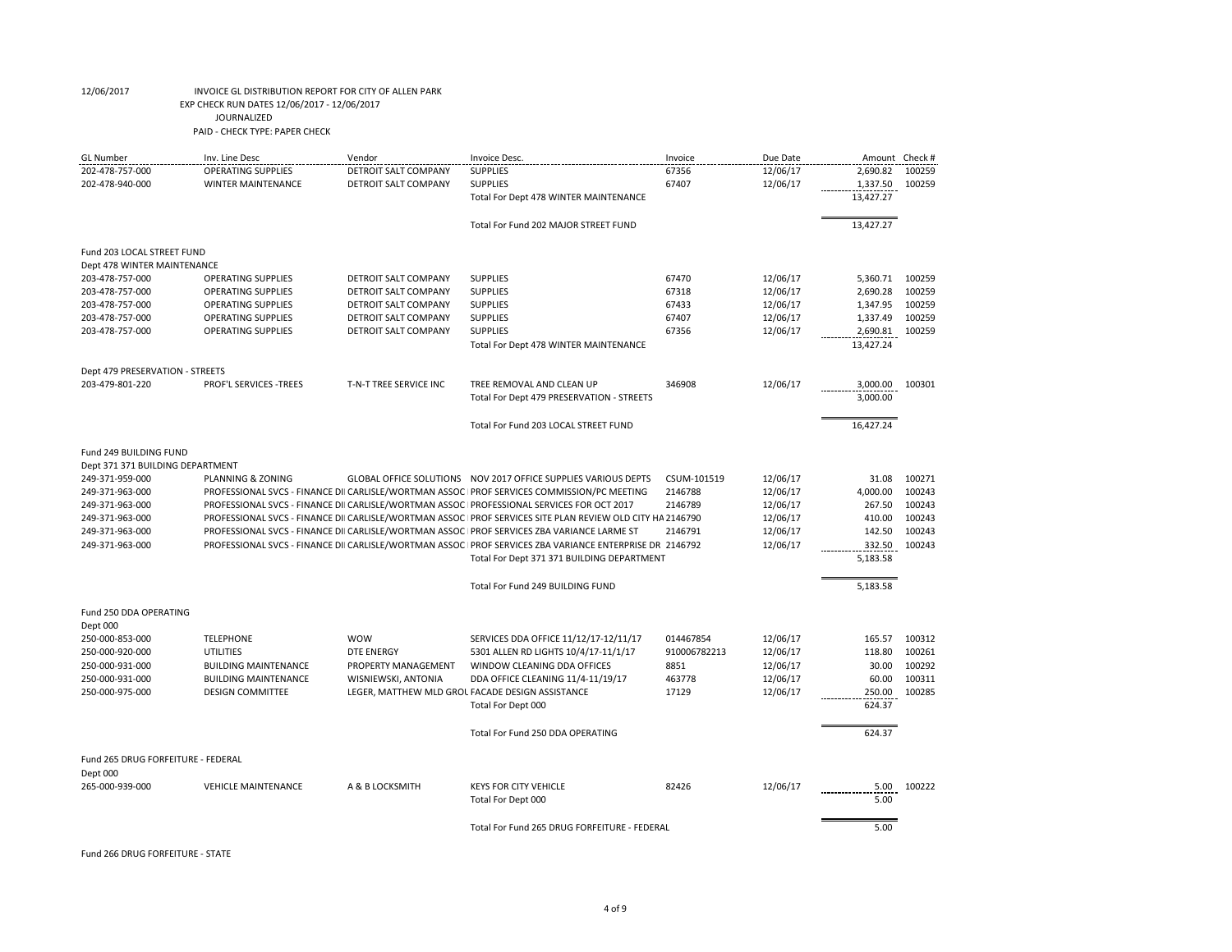| <b>GL Number</b>                   | Inv. Line Desc                | Vendor                      | Invoice Desc.                                                                                             | Invoice      | Due Date |           | Amount Check # |
|------------------------------------|-------------------------------|-----------------------------|-----------------------------------------------------------------------------------------------------------|--------------|----------|-----------|----------------|
| 202-478-757-000                    | <b>OPERATING SUPPLIES</b>     | DETROIT SALT COMPANY        | <b>SUPPLIES</b>                                                                                           | 67356        | 12/06/17 | 2,690.82  | 100259         |
| 202-478-940-000                    | <b>WINTER MAINTENANCE</b>     | DETROIT SALT COMPANY        | <b>SUPPLIES</b>                                                                                           | 67407        | 12/06/17 | 1,337.50  | 100259         |
|                                    |                               |                             | Total For Dept 478 WINTER MAINTENANCE                                                                     |              |          | 13,427.27 |                |
|                                    |                               |                             | Total For Fund 202 MAJOR STREET FUND                                                                      |              |          | 13,427.27 |                |
| Fund 203 LOCAL STREET FUND         |                               |                             |                                                                                                           |              |          |           |                |
| Dept 478 WINTER MAINTENANCE        |                               |                             |                                                                                                           |              |          |           |                |
| 203-478-757-000                    | <b>OPERATING SUPPLIES</b>     | DETROIT SALT COMPANY        | <b>SUPPLIES</b>                                                                                           | 67470        | 12/06/17 | 5,360.71  | 100259         |
| 203-478-757-000                    | <b>OPERATING SUPPLIES</b>     | <b>DETROIT SALT COMPANY</b> | <b>SUPPLIES</b>                                                                                           | 67318        | 12/06/17 | 2,690.28  | 100259         |
| 203-478-757-000                    | <b>OPERATING SUPPLIES</b>     | DETROIT SALT COMPANY        | <b>SUPPLIES</b>                                                                                           | 67433        | 12/06/17 | 1,347.95  | 100259         |
| 203-478-757-000                    | <b>OPERATING SUPPLIES</b>     | <b>DETROIT SALT COMPANY</b> | <b>SUPPLIES</b>                                                                                           | 67407        | 12/06/17 | 1,337.49  | 100259         |
| 203-478-757-000                    | <b>OPERATING SUPPLIES</b>     | DETROIT SALT COMPANY        | <b>SUPPLIES</b>                                                                                           | 67356        | 12/06/17 | 2,690.81  | 100259         |
|                                    |                               |                             | Total For Dept 478 WINTER MAINTENANCE                                                                     |              |          | 13,427.24 |                |
| Dept 479 PRESERVATION - STREETS    |                               |                             |                                                                                                           |              |          |           |                |
| 203-479-801-220                    | <b>PROF'L SERVICES -TREES</b> | T-N-T TREE SERVICE INC      | TREE REMOVAL AND CLEAN UP                                                                                 | 346908       | 12/06/17 | 3,000.00  | 100301         |
|                                    |                               |                             | Total For Dept 479 PRESERVATION - STREETS                                                                 |              |          | 3,000.00  |                |
|                                    |                               |                             | Total For Fund 203 LOCAL STREET FUND                                                                      |              |          | 16,427.24 |                |
| Fund 249 BUILDING FUND             |                               |                             |                                                                                                           |              |          |           |                |
| Dept 371 371 BUILDING DEPARTMENT   |                               |                             |                                                                                                           |              |          |           |                |
| 249-371-959-000                    | PLANNING & ZONING             |                             | GLOBAL OFFICE SOLUTIONS  NOV 2017 OFFICE SUPPLIES VARIOUS DEPTS                                           | CSUM-101519  | 12/06/17 | 31.08     | 100271         |
| 249-371-963-000                    |                               |                             | PROFESSIONAL SVCS - FINANCE DII CARLISLE/WORTMAN ASSOC PROF SERVICES COMMISSION/PC MEETING                | 2146788      | 12/06/17 | 4,000.00  | 100243         |
| 249-371-963-000                    |                               |                             | PROFESSIONAL SVCS - FINANCE DII CARLISLE/WORTMAN ASSOC PROFESSIONAL SERVICES FOR OCT 2017                 | 2146789      | 12/06/17 | 267.50    | 100243         |
| 249-371-963-000                    |                               |                             | PROFESSIONAL SVCS - FINANCE DII CARLISLE/WORTMAN ASSOC PROF SERVICES SITE PLAN REVIEW OLD CITY HA 2146790 |              | 12/06/17 | 410.00    | 100243         |
| 249-371-963-000                    |                               |                             | PROFESSIONAL SVCS - FINANCE DII CARLISLE/WORTMAN ASSOC PROF SERVICES ZBA VARIANCE LARME ST                | 2146791      | 12/06/17 | 142.50    | 100243         |
| 249-371-963-000                    |                               |                             | PROFESSIONAL SVCS - FINANCE DII CARLISLE/WORTMAN ASSOC PROF SERVICES ZBA VARIANCE ENTERPRISE DR 2146792   |              | 12/06/17 | 332.50    | 100243         |
|                                    |                               |                             | Total For Dept 371 371 BUILDING DEPARTMENT                                                                |              |          | 5,183.58  |                |
|                                    |                               |                             | Total For Fund 249 BUILDING FUND                                                                          |              |          | 5,183.58  |                |
|                                    |                               |                             |                                                                                                           |              |          |           |                |
| Fund 250 DDA OPERATING<br>Dept 000 |                               |                             |                                                                                                           |              |          |           |                |
| 250-000-853-000                    | <b>TELEPHONE</b>              | <b>WOW</b>                  | SERVICES DDA OFFICE 11/12/17-12/11/17                                                                     | 014467854    | 12/06/17 | 165.57    | 100312         |
| 250-000-920-000                    | <b>UTILITIES</b>              | <b>DTE ENERGY</b>           | 5301 ALLEN RD LIGHTS 10/4/17-11/1/17                                                                      | 910006782213 | 12/06/17 | 118.80    | 100261         |
| 250-000-931-000                    | <b>BUILDING MAINTENANCE</b>   | PROPERTY MANAGEMENT         | WINDOW CLEANING DDA OFFICES                                                                               | 8851         | 12/06/17 | 30.00     | 100292         |
| 250-000-931-000                    | <b>BUILDING MAINTENANCE</b>   | WISNIEWSKI, ANTONIA         | DDA OFFICE CLEANING 11/4-11/19/17                                                                         | 463778       | 12/06/17 | 60.00     | 100311         |
| 250-000-975-000                    | <b>DESIGN COMMITTEE</b>       |                             | LEGER, MATTHEW MLD GROL FACADE DESIGN ASSISTANCE                                                          | 17129        | 12/06/17 | 250.00    | 100285         |
|                                    |                               |                             | Total For Dept 000                                                                                        |              |          | 624.37    |                |
|                                    |                               |                             |                                                                                                           |              |          |           |                |
|                                    |                               |                             | Total For Fund 250 DDA OPERATING                                                                          |              |          | 624.37    |                |
| Fund 265 DRUG FORFEITURE - FEDERAL |                               |                             |                                                                                                           |              |          |           |                |
| Dept 000                           |                               |                             |                                                                                                           |              |          |           |                |
| 265-000-939-000                    | <b>VEHICLE MAINTENANCE</b>    | A & B LOCKSMITH             | <b>KEYS FOR CITY VEHICLE</b>                                                                              | 82426        | 12/06/17 | 5.00      | 100222         |
|                                    |                               |                             | Total For Dept 000                                                                                        |              |          | 5.00      |                |
|                                    |                               |                             | Total For Fund 265 DRUG FORFEITURE - FEDERAL                                                              |              |          | 5.00      |                |

Fund 266 DRUG FORFEITURE - STATE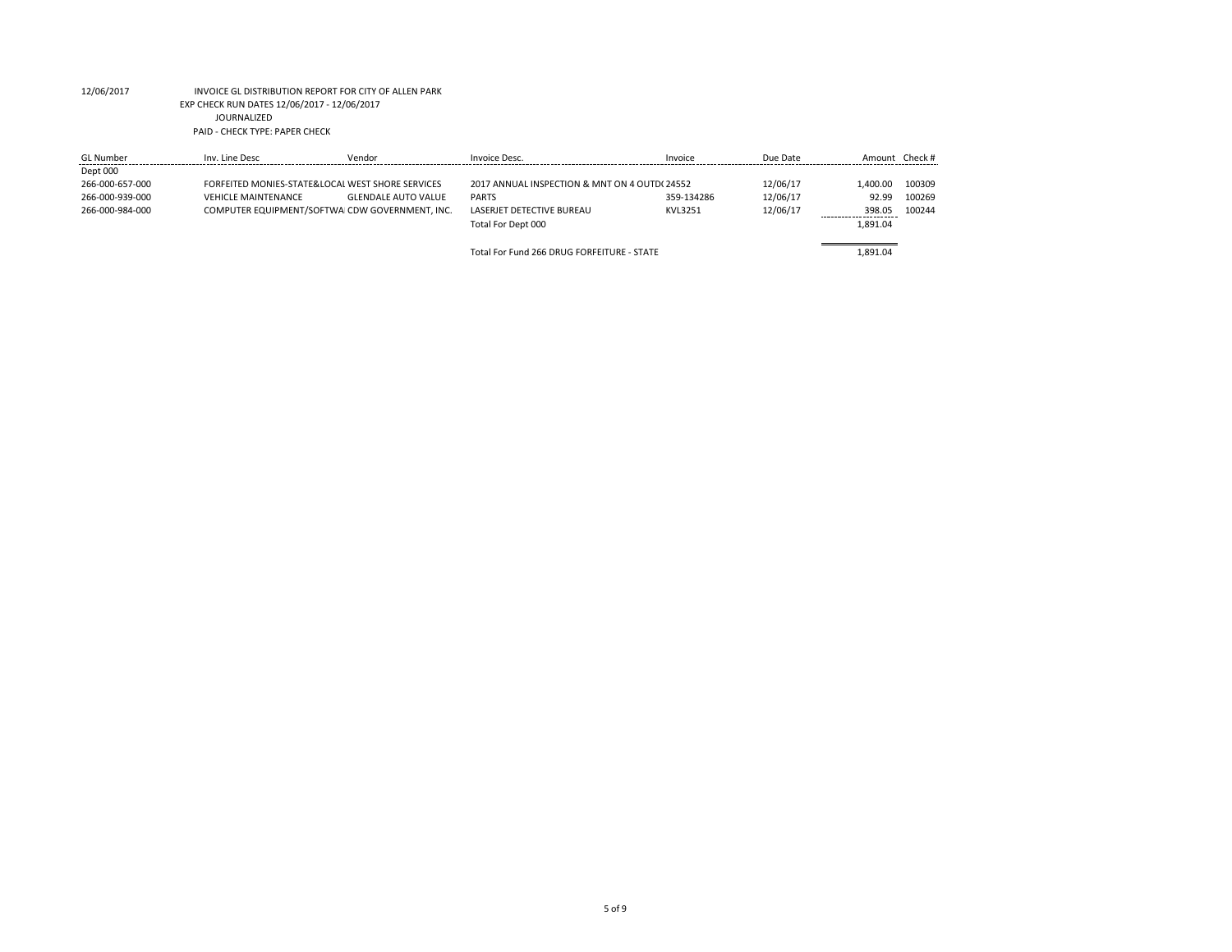| <b>GL Number</b> | Inv. Line Desc             | Vendor                                           | Invoice Desc.                                | Invoice    | Due Date | Amount Check # |        |
|------------------|----------------------------|--------------------------------------------------|----------------------------------------------|------------|----------|----------------|--------|
| Dept 000         |                            |                                                  |                                              |            |          |                |        |
| 266-000-657-000  |                            | FORFEITED MONIES-STATE&LOCAL WEST SHORE SERVICES | 2017 ANNUAL INSPECTION & MNT ON 4 OUTD(24552 |            | 12/06/17 | L.400.00       | 100309 |
| 266-000-939-000  | <b>VEHICLE MAINTENANCE</b> | <b>GLENDALE AUTO VALUE</b>                       | <b>PARTS</b>                                 | 359-134286 | 12/06/17 | 92.99          | 100269 |
| 266-000-984-000  |                            | COMPUTER EQUIPMENT/SOFTWAICDW GOVERNMENT. INC.   | <b>LASERIET DETECTIVE BUREAU</b>             | KVL3251    | 12/06/17 | 398.05         | 100244 |
|                  |                            |                                                  | Total For Dept 000                           |            |          | 1.891.04       |        |
|                  |                            |                                                  |                                              |            |          |                |        |
|                  |                            |                                                  | Total For Fund 266 DRUG FORFEITURE - STATE   |            |          | 1.891.04       |        |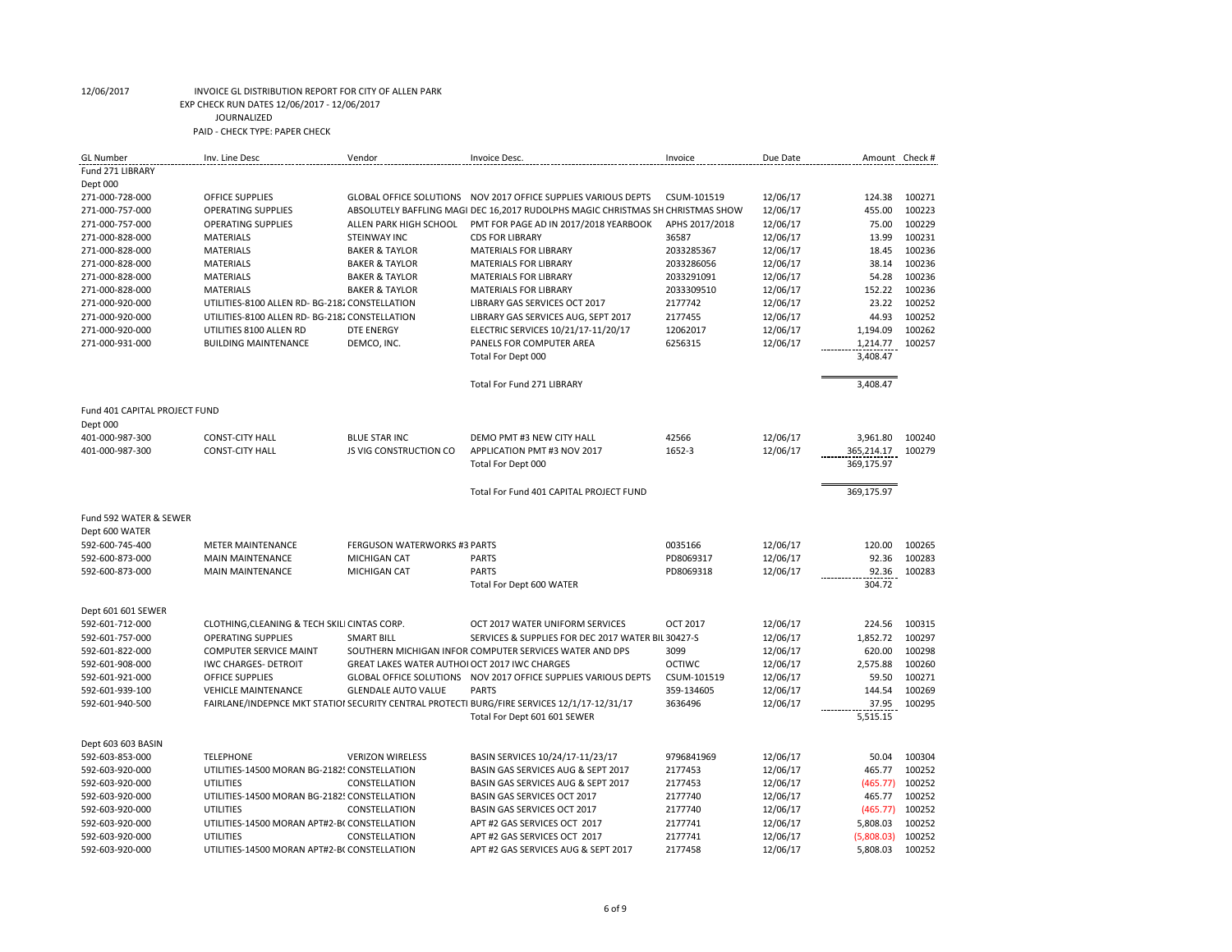| GL Number                          | Inv. Line Desc                                      | Vendor                                                     | Invoice Desc.                                                                               | Invoice        | Due Date             | Amount Check #  |        |
|------------------------------------|-----------------------------------------------------|------------------------------------------------------------|---------------------------------------------------------------------------------------------|----------------|----------------------|-----------------|--------|
| Fund 271 LIBRARY                   |                                                     |                                                            |                                                                                             |                |                      |                 |        |
| Dept 000                           |                                                     |                                                            |                                                                                             |                |                      |                 |        |
| 271-000-728-000                    | <b>OFFICE SUPPLIES</b>                              |                                                            | GLOBAL OFFICE SOLUTIONS  NOV 2017 OFFICE SUPPLIES VARIOUS DEPTS                             | CSUM-101519    | 12/06/17             | 124.38          | 100271 |
| 271-000-757-000                    | <b>OPERATING SUPPLIES</b>                           |                                                            | ABSOLUTELY BAFFLING MAGI DEC 16,2017 RUDOLPHS MAGIC CHRISTMAS SH CHRISTMAS SHOW             |                | 12/06/17             | 455.00          | 100223 |
| 271-000-757-000                    | <b>OPERATING SUPPLIES</b>                           | ALLEN PARK HIGH SCHOOL                                     | PMT FOR PAGE AD IN 2017/2018 YEARBOOK                                                       | APHS 2017/2018 | 12/06/17             | 75.00           | 100229 |
| 271-000-828-000                    | <b>MATERIALS</b>                                    | <b>STEINWAY INC</b>                                        | <b>CDS FOR LIBRARY</b>                                                                      | 36587          | 12/06/17             | 13.99           | 100231 |
| 271-000-828-000                    | <b>MATERIALS</b>                                    | <b>BAKER &amp; TAYLOR</b>                                  | <b>MATERIALS FOR LIBRARY</b>                                                                | 2033285367     | 12/06/17             | 18.45           | 100236 |
| 271-000-828-000                    | <b>MATERIALS</b>                                    | <b>BAKER &amp; TAYLOR</b>                                  | <b>MATERIALS FOR LIBRARY</b>                                                                | 2033286056     | 12/06/17             | 38.14           | 100236 |
| 271-000-828-000                    | <b>MATERIALS</b>                                    | <b>BAKER &amp; TAYLOR</b>                                  | <b>MATERIALS FOR LIBRARY</b>                                                                | 2033291091     | 12/06/17             | 54.28           | 100236 |
| 271-000-828-000                    | <b>MATERIALS</b>                                    | <b>BAKER &amp; TAYLOR</b>                                  | <b>MATERIALS FOR LIBRARY</b>                                                                | 2033309510     | 12/06/17             | 152.22          | 100236 |
| 271-000-920-000                    | UTILITIES-8100 ALLEN RD- BG-2182 CONSTELLATION      |                                                            | LIBRARY GAS SERVICES OCT 2017                                                               | 2177742        | 12/06/17             | 23.22           | 100252 |
| 271-000-920-000                    | UTILITIES-8100 ALLEN RD- BG-2182 CONSTELLATION      |                                                            | LIBRARY GAS SERVICES AUG, SEPT 2017                                                         | 2177455        | 12/06/17             | 44.93           | 100252 |
| 271-000-920-000                    | UTILITIES 8100 ALLEN RD                             | <b>DTE ENERGY</b>                                          | ELECTRIC SERVICES 10/21/17-11/20/17                                                         | 12062017       | 12/06/17             | 1,194.09        | 100262 |
| 271-000-931-000                    | <b>BUILDING MAINTENANCE</b>                         | DEMCO, INC.                                                | PANELS FOR COMPUTER AREA                                                                    | 6256315        | 12/06/17             | 1,214.77        | 100257 |
|                                    |                                                     |                                                            | Total For Dept 000                                                                          |                |                      | 3,408.47        |        |
|                                    |                                                     |                                                            |                                                                                             |                |                      |                 |        |
|                                    |                                                     |                                                            | Total For Fund 271 LIBRARY                                                                  |                |                      | 3,408.47        |        |
| Fund 401 CAPITAL PROJECT FUND      |                                                     |                                                            |                                                                                             |                |                      |                 |        |
| Dept 000                           |                                                     |                                                            |                                                                                             |                |                      |                 |        |
| 401-000-987-300                    | <b>CONST-CITY HALL</b>                              | <b>BLUE STAR INC</b>                                       | DEMO PMT #3 NEW CITY HALL                                                                   | 42566          | 12/06/17             | 3,961.80        | 100240 |
| 401-000-987-300                    | <b>CONST-CITY HALL</b>                              | <b>JS VIG CONSTRUCTION CO</b>                              | APPLICATION PMT #3 NOV 2017                                                                 | 1652-3         | 12/06/17             | 365,214.17      | 100279 |
|                                    |                                                     |                                                            | Total For Dept 000                                                                          |                |                      | 369,175.97      |        |
|                                    |                                                     |                                                            |                                                                                             |                |                      |                 |        |
|                                    |                                                     |                                                            | Total For Fund 401 CAPITAL PROJECT FUND                                                     |                |                      | 369,175.97      |        |
| Fund 592 WATER & SEWER             |                                                     |                                                            |                                                                                             |                |                      |                 |        |
| Dept 600 WATER                     |                                                     |                                                            |                                                                                             |                |                      |                 |        |
| 592-600-745-400                    |                                                     |                                                            |                                                                                             |                |                      |                 | 100265 |
|                                    |                                                     |                                                            |                                                                                             | 0035166        |                      |                 |        |
| 592-600-873-000                    | <b>METER MAINTENANCE</b><br><b>MAIN MAINTENANCE</b> | <b>FERGUSON WATERWORKS #3 PARTS</b><br><b>MICHIGAN CAT</b> | <b>PARTS</b>                                                                                | PD8069317      | 12/06/17             | 120.00<br>92.36 | 100283 |
|                                    |                                                     |                                                            |                                                                                             |                | 12/06/17             |                 |        |
| 592-600-873-000                    | <b>MAIN MAINTENANCE</b>                             | <b>MICHIGAN CAT</b>                                        | <b>PARTS</b><br>Total For Dept 600 WATER                                                    | PD8069318      | 12/06/17             | 92.36<br>304.72 | 100283 |
|                                    |                                                     |                                                            |                                                                                             |                |                      |                 |        |
| Dept 601 601 SEWER                 |                                                     |                                                            |                                                                                             |                |                      |                 |        |
| 592-601-712-000                    | CLOTHING, CLEANING & TECH SKILI CINTAS CORP.        |                                                            | OCT 2017 WATER UNIFORM SERVICES                                                             | OCT 2017       | 12/06/17             | 224.56          | 100315 |
| 592-601-757-000                    | <b>OPERATING SUPPLIES</b>                           | <b>SMART BILL</b>                                          | SERVICES & SUPPLIES FOR DEC 2017 WATER BIL 30427-S                                          |                | 12/06/17             | 1.852.72        | 100297 |
| 592-601-822-000                    | <b>COMPUTER SERVICE MAINT</b>                       |                                                            | SOUTHERN MICHIGAN INFOR COMPUTER SERVICES WATER AND DPS                                     | 3099           | 12/06/17             | 620.00          | 100298 |
| 592-601-908-000                    | <b>IWC CHARGES- DETROIT</b>                         | <b>GREAT LAKES WATER AUTHOLOCT 2017 IWC CHARGES</b>        |                                                                                             | <b>OCTIWC</b>  | 12/06/17             | 2,575.88        | 100260 |
| 592-601-921-000                    | <b>OFFICE SUPPLIES</b>                              | <b>GLOBAL OFFICE SOLUTIONS</b>                             | NOV 2017 OFFICE SUPPLIES VARIOUS DEPTS                                                      | CSUM-101519    |                      | 59.50           | 100271 |
|                                    | <b>VEHICLE MAINTENANCE</b>                          |                                                            | <b>PARTS</b>                                                                                | 359-134605     | 12/06/17             |                 | 100269 |
| 592-601-939-100<br>592-601-940-500 |                                                     | <b>GLENDALE AUTO VALUE</b>                                 | FAIRLANE/INDEPNCE MKT STATIOI SECURITY CENTRAL PROTECTI BURG/FIRE SERVICES 12/1/17-12/31/17 | 3636496        | 12/06/17<br>12/06/17 | 144.54<br>37.95 | 100295 |
|                                    |                                                     |                                                            | Total For Dept 601 601 SEWER                                                                |                |                      | 5,515.15        |        |
| Dept 603 603 BASIN                 |                                                     |                                                            |                                                                                             |                |                      |                 |        |
| 592-603-853-000                    | <b>TELEPHONE</b>                                    | <b>VERIZON WIRELESS</b>                                    | BASIN SERVICES 10/24/17-11/23/17                                                            | 9796841969     | 12/06/17             | 50.04           | 100304 |
| 592-603-920-000                    | UTILITIES-14500 MORAN BG-21825 CONSTELLATION        |                                                            | BASIN GAS SERVICES AUG & SEPT 2017                                                          | 2177453        | 12/06/17             | 465.77          | 100252 |
| 592-603-920-000                    | UTILITIES                                           | CONSTELLATION                                              | BASIN GAS SERVICES AUG & SEPT 2017                                                          | 2177453        | 12/06/17             | (465.77)        | 100252 |
| 592-603-920-000                    | UTILITIES-14500 MORAN BG-21825 CONSTELLATION        |                                                            | BASIN GAS SERVICES OCT 2017                                                                 | 2177740        | 12/06/17             | 465.77          | 100252 |
| 592-603-920-000                    | UTILITIES                                           | CONSTELLATION                                              | BASIN GAS SERVICES OCT 2017                                                                 | 2177740        | 12/06/17             | (465.77)        | 100252 |
| 592-603-920-000                    | UTILITIES-14500 MORAN APT#2-B(CONSTELLATION         |                                                            | APT #2 GAS SERVICES OCT 2017                                                                | 2177741        | 12/06/17             | 5,808.03        | 100252 |
| 592-603-920-000                    | UTILITIES                                           | CONSTELLATION                                              | APT #2 GAS SERVICES OCT 2017                                                                | 2177741        | 12/06/17             | (5,808.03)      | 100252 |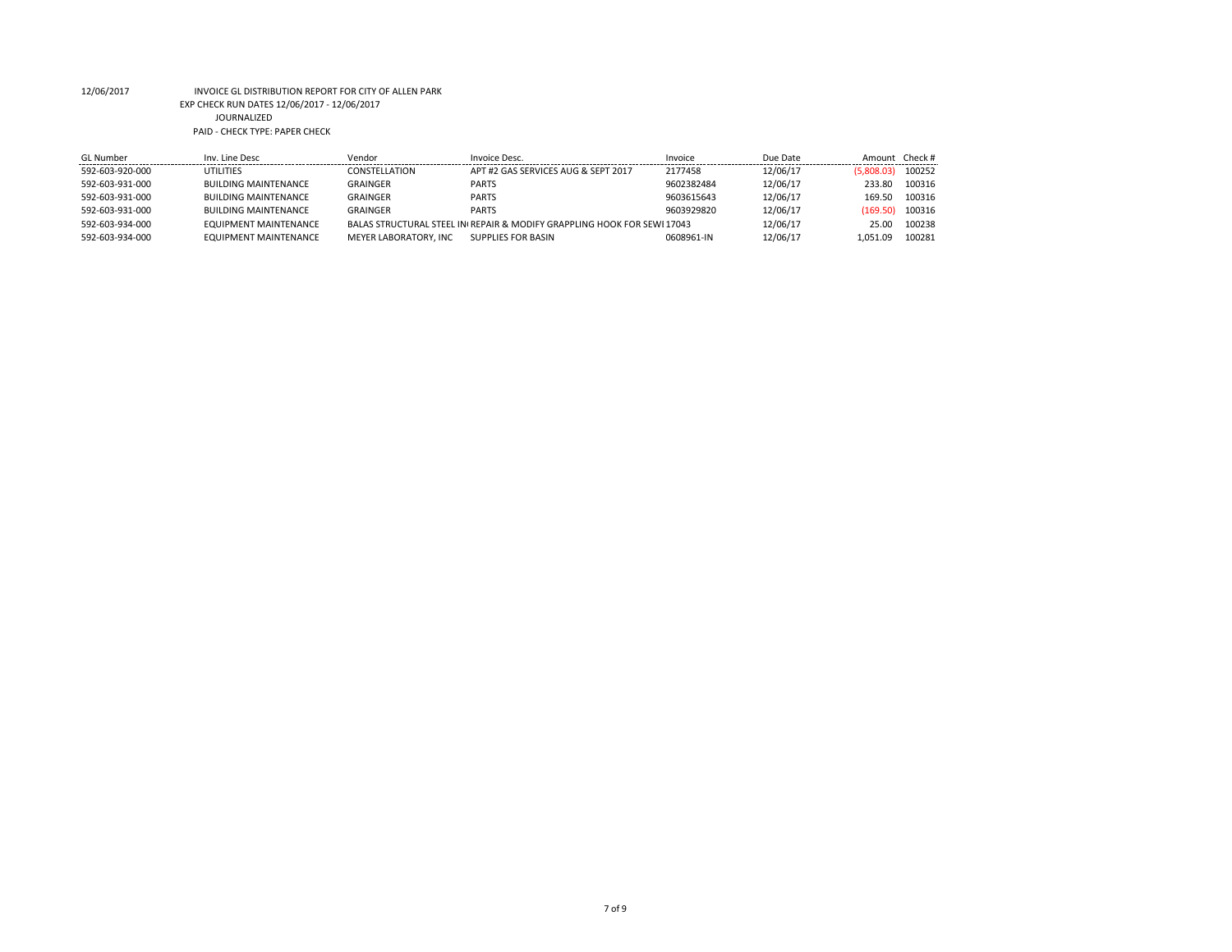| Inv. Line Desc               | Vendor                | Invoice Desc.                       | Invoice    | Due Date                                                                | Amount Check# |        |
|------------------------------|-----------------------|-------------------------------------|------------|-------------------------------------------------------------------------|---------------|--------|
| <b>UTILITIES</b>             | CONSTELLATION         | APT #2 GAS SERVICES AUG & SEPT 2017 | 2177458    | 12/06/17                                                                | (5,808.03)    | 100252 |
| <b>BUILDING MAINTENANCE</b>  | GRAINGER              | <b>PARTS</b>                        | 9602382484 | 12/06/17                                                                | 233.80        | 100316 |
| <b>BUILDING MAINTENANCE</b>  | <b>GRAINGER</b>       | <b>PARTS</b>                        | 9603615643 | 12/06/17                                                                | 169.50        | 100316 |
| <b>BUILDING MAINTENANCE</b>  | GRAINGER              | <b>PARTS</b>                        | 9603929820 | 12/06/17                                                                | (169.50)      | 100316 |
| EQUIPMENT MAINTENANCE        |                       |                                     |            | 12/06/17                                                                | 25.00         | 100238 |
| <b>EQUIPMENT MAINTENANCE</b> | MEYER LABORATORY, INC | SUPPLIES FOR BASIN                  | 0608961-IN | 12/06/17                                                                | 1.051.09      | 100281 |
|                              |                       |                                     |            | BALAS STRUCTURAL STEEL IN REPAIR & MODIFY GRAPPLING HOOK FOR SEWI 17043 |               |        |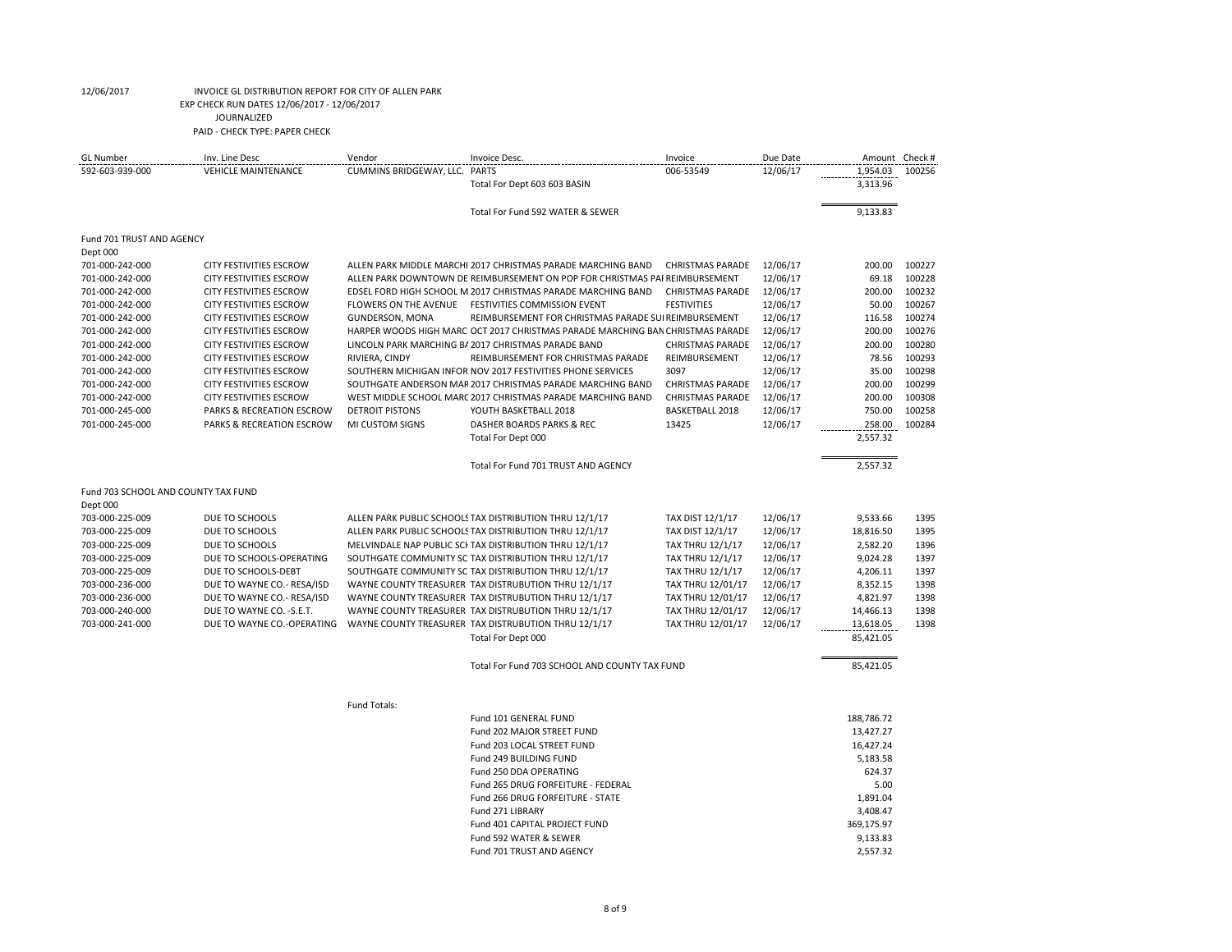| <b>GL</b> Number                    | Inv. Line Desc                       | Vendor                        | Invoice Desc.                                                                  | Invoice                 | Due Date | Amount     | Check # |
|-------------------------------------|--------------------------------------|-------------------------------|--------------------------------------------------------------------------------|-------------------------|----------|------------|---------|
| 592-603-939-000                     | <b>VEHICLE MAINTENANCE</b>           | CUMMINS BRIDGEWAY, LLC. PARTS |                                                                                | 006-53549               | 12/06/17 | 1,954.03   | 100256  |
|                                     |                                      |                               | Total For Dept 603 603 BASIN                                                   |                         |          | 3,313.96   |         |
|                                     |                                      |                               |                                                                                |                         |          |            |         |
|                                     |                                      |                               | Total For Fund 592 WATER & SEWER                                               |                         |          | 9,133.83   |         |
|                                     |                                      |                               |                                                                                |                         |          |            |         |
| Fund 701 TRUST AND AGENCY           |                                      |                               |                                                                                |                         |          |            |         |
| Dept 000                            |                                      |                               |                                                                                |                         |          |            |         |
| 701-000-242-000                     | <b>CITY FESTIVITIES ESCROW</b>       |                               | ALLEN PARK MIDDLE MARCHI 2017 CHRISTMAS PARADE MARCHING BAND                   | <b>CHRISTMAS PARADE</b> | 12/06/17 | 200.00     | 100227  |
| 701-000-242-000                     | <b>CITY FESTIVITIES ESCROW</b>       |                               | ALLEN PARK DOWNTOWN DE REIMBURSEMENT ON POP FOR CHRISTMAS PAI REIMBURSEMENT    |                         | 12/06/17 | 69.18      | 100228  |
| 701-000-242-000                     | <b>CITY FESTIVITIES ESCROW</b>       |                               | EDSEL FORD HIGH SCHOOL M 2017 CHRISTMAS PARADE MARCHING BAND                   | <b>CHRISTMAS PARADE</b> | 12/06/17 | 200.00     | 100232  |
| 701-000-242-000                     | <b>CITY FESTIVITIES ESCROW</b>       |                               | FLOWERS ON THE AVENUE FESTIVITIES COMMISSION EVENT                             | <b>FESTIVITIES</b>      | 12/06/17 | 50.00      | 100267  |
|                                     |                                      |                               |                                                                                |                         |          |            | 100274  |
| 701-000-242-000                     | <b>CITY FESTIVITIES ESCROW</b>       | <b>GUNDERSON, MONA</b>        | REIMBURSEMENT FOR CHRISTMAS PARADE SUI REIMBURSEMENT                           |                         | 12/06/17 | 116.58     |         |
| 701-000-242-000                     | <b>CITY FESTIVITIES ESCROW</b>       |                               | HARPER WOODS HIGH MARC OCT 2017 CHRISTMAS PARADE MARCHING BAN CHRISTMAS PARADE |                         | 12/06/17 | 200.00     | 100276  |
| 701-000-242-000                     | <b>CITY FESTIVITIES ESCROW</b>       |                               | LINCOLN PARK MARCHING B/ 2017 CHRISTMAS PARADE BAND                            | <b>CHRISTMAS PARADE</b> | 12/06/17 | 200.00     | 100280  |
| 701-000-242-000                     | <b>CITY FESTIVITIES ESCROW</b>       | RIVIERA, CINDY                | REIMBURSEMENT FOR CHRISTMAS PARADE                                             | REIMBURSEMENT           | 12/06/17 | 78.56      | 100293  |
| 701-000-242-000                     | <b>CITY FESTIVITIES ESCROW</b>       |                               | SOUTHERN MICHIGAN INFOR NOV 2017 FESTIVITIES PHONE SERVICES                    | 3097                    | 12/06/17 | 35.00      | 100298  |
| 701-000-242-000                     | <b>CITY FESTIVITIES ESCROW</b>       |                               | SOUTHGATE ANDERSON MAF 2017 CHRISTMAS PARADE MARCHING BAND                     | <b>CHRISTMAS PARADE</b> | 12/06/17 | 200.00     | 100299  |
| 701-000-242-000                     | <b>CITY FESTIVITIES ESCROW</b>       |                               | WEST MIDDLE SCHOOL MARC 2017 CHRISTMAS PARADE MARCHING BAND                    | <b>CHRISTMAS PARADE</b> | 12/06/17 | 200.00     | 100308  |
| 701-000-245-000                     | PARKS & RECREATION ESCROW            | <b>DETROIT PISTONS</b>        | YOUTH BASKETBALL 2018                                                          | <b>BASKETBALL 2018</b>  | 12/06/17 | 750.00     | 100258  |
| 701-000-245-000                     | <b>PARKS &amp; RECREATION ESCROW</b> | MI CUSTOM SIGNS               | DASHER BOARDS PARKS & REC                                                      | 13425                   | 12/06/17 | 258.00     | 100284  |
|                                     |                                      |                               | Total For Dept 000                                                             |                         |          | 2,557.32   |         |
|                                     |                                      |                               |                                                                                |                         |          |            |         |
|                                     |                                      |                               | Total For Fund 701 TRUST AND AGENCY                                            |                         |          | 2,557.32   |         |
|                                     |                                      |                               |                                                                                |                         |          |            |         |
| Fund 703 SCHOOL AND COUNTY TAX FUND |                                      |                               |                                                                                |                         |          |            |         |
| Dept 000                            |                                      |                               |                                                                                |                         |          |            |         |
| 703-000-225-009                     | DUE TO SCHOOLS                       |                               | ALLEN PARK PUBLIC SCHOOLS TAX DISTRIBUTION THRU 12/1/17                        | TAX DIST 12/1/17        | 12/06/17 | 9,533.66   | 1395    |
| 703-000-225-009                     | DUE TO SCHOOLS                       |                               | ALLEN PARK PUBLIC SCHOOLS TAX DISTRIBUTION THRU 12/1/17                        | TAX DIST 12/1/17        | 12/06/17 | 18,816.50  | 1395    |
| 703-000-225-009                     | DUE TO SCHOOLS                       |                               | MELVINDALE NAP PUBLIC SCI TAX DISTRIBUTION THRU 12/1/17                        | <b>TAX THRU 12/1/17</b> | 12/06/17 | 2,582.20   | 1396    |
| 703-000-225-009                     | DUE TO SCHOOLS-OPERATING             |                               | SOUTHGATE COMMUNITY SC TAX DISTRIBUTION THRU 12/1/17                           | <b>TAX THRU 12/1/17</b> | 12/06/17 | 9,024.28   | 1397    |
| 703-000-225-009                     | DUE TO SCHOOLS-DEBT                  |                               |                                                                                |                         | 12/06/17 | 4,206.11   | 1397    |
|                                     |                                      |                               | SOUTHGATE COMMUNITY SC TAX DISTRIBUTION THRU 12/1/17                           | <b>TAX THRU 12/1/17</b> |          |            |         |
| 703-000-236-000                     | DUE TO WAYNE CO.- RESA/ISD           |                               | WAYNE COUNTY TREASURER TAX DISTRUBUTION THRU 12/1/17                           | TAX THRU 12/01/17       | 12/06/17 | 8,352.15   | 1398    |
| 703-000-236-000                     | DUE TO WAYNE CO.- RESA/ISD           |                               | WAYNE COUNTY TREASURER TAX DISTRUBUTION THRU 12/1/17                           | TAX THRU 12/01/17       | 12/06/17 | 4,821.97   | 1398    |
| 703-000-240-000                     | DUE TO WAYNE CO. - S.E.T.            |                               | WAYNE COUNTY TREASURER TAX DISTRUBUTION THRU 12/1/17                           | TAX THRU 12/01/17       | 12/06/17 | 14,466.13  | 1398    |
| 703-000-241-000                     | DUE TO WAYNE CO.-OPERATING           |                               | WAYNE COUNTY TREASURER TAX DISTRUBUTION THRU 12/1/17                           | TAX THRU 12/01/17       | 12/06/17 | 13,618.05  | 1398    |
|                                     |                                      |                               | Total For Dept 000                                                             |                         |          | 85,421.05  |         |
|                                     |                                      |                               |                                                                                |                         |          |            |         |
|                                     |                                      |                               | Total For Fund 703 SCHOOL AND COUNTY TAX FUND                                  |                         |          | 85,421.05  |         |
|                                     |                                      |                               |                                                                                |                         |          |            |         |
|                                     |                                      |                               |                                                                                |                         |          |            |         |
|                                     |                                      | Fund Totals:                  |                                                                                |                         |          |            |         |
|                                     |                                      |                               | Fund 101 GENERAL FUND                                                          |                         |          | 188,786.72 |         |
|                                     |                                      |                               | Fund 202 MAJOR STREET FUND                                                     |                         |          | 13,427.27  |         |
|                                     |                                      |                               | Fund 203 LOCAL STREET FUND                                                     |                         |          | 16,427.24  |         |
|                                     |                                      |                               | Fund 249 BUILDING FUND                                                         |                         |          | 5,183.58   |         |
|                                     |                                      |                               | Fund 250 DDA OPERATING                                                         |                         |          | 624.37     |         |
|                                     |                                      |                               | Fund 265 DRUG FORFEITURE - FEDERAL                                             |                         |          | 5.00       |         |
|                                     |                                      |                               | Fund 266 DRUG FORFEITURE - STATE                                               |                         |          | 1,891.04   |         |
|                                     |                                      |                               | Fund 271 LIBRARY                                                               |                         |          | 3,408.47   |         |
|                                     |                                      |                               | Fund 401 CAPITAL PROJECT FUND                                                  |                         |          | 369,175.97 |         |
|                                     |                                      |                               | Fund 592 WATER & SEWER                                                         |                         |          | 9,133.83   |         |
|                                     |                                      |                               | Fund 701 TRUST AND AGENCY                                                      |                         |          | 2.557.32   |         |
|                                     |                                      |                               |                                                                                |                         |          |            |         |